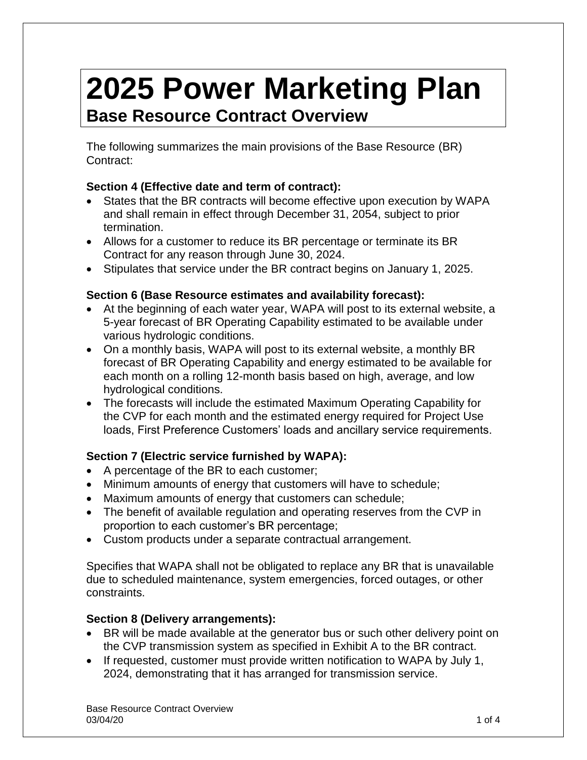# **2025 Power Marketing Plan Base Resource Contract Overview**

The following summarizes the main provisions of the Base Resource (BR) Contract:

# **Section 4 (Effective date and term of contract):**

- States that the BR contracts will become effective upon execution by WAPA and shall remain in effect through December 31, 2054, subject to prior termination.
- Allows for a customer to reduce its BR percentage or terminate its BR Contract for any reason through June 30, 2024.
- Stipulates that service under the BR contract begins on January 1, 2025.

# **Section 6 (Base Resource estimates and availability forecast):**

- At the beginning of each water year, WAPA will post to its external website, a 5-year forecast of BR Operating Capability estimated to be available under various hydrologic conditions.
- On a monthly basis, WAPA will post to its external website, a monthly BR forecast of BR Operating Capability and energy estimated to be available for each month on a rolling 12-month basis based on high, average, and low hydrological conditions.
- The forecasts will include the estimated Maximum Operating Capability for the CVP for each month and the estimated energy required for Project Use loads, First Preference Customers' loads and ancillary service requirements.

# **Section 7 (Electric service furnished by WAPA):**

- A percentage of the BR to each customer;
- Minimum amounts of energy that customers will have to schedule;
- Maximum amounts of energy that customers can schedule;
- The benefit of available regulation and operating reserves from the CVP in proportion to each customer's BR percentage;
- Custom products under a separate contractual arrangement.

Specifies that WAPA shall not be obligated to replace any BR that is unavailable due to scheduled maintenance, system emergencies, forced outages, or other constraints.

# **Section 8 (Delivery arrangements):**

- BR will be made available at the generator bus or such other delivery point on the CVP transmission system as specified in Exhibit A to the BR contract.
- If requested, customer must provide written notification to WAPA by July 1, 2024, demonstrating that it has arranged for transmission service.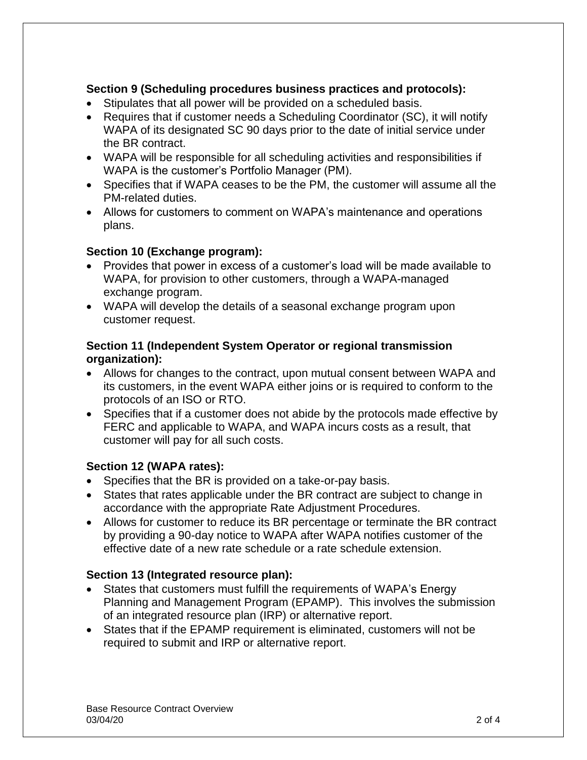# **Section 9 (Scheduling procedures business practices and protocols):**

- Stipulates that all power will be provided on a scheduled basis.
- Requires that if customer needs a Scheduling Coordinator (SC), it will notify WAPA of its designated SC 90 days prior to the date of initial service under the BR contract.
- WAPA will be responsible for all scheduling activities and responsibilities if WAPA is the customer's Portfolio Manager (PM).
- Specifies that if WAPA ceases to be the PM, the customer will assume all the PM-related duties.
- Allows for customers to comment on WAPA's maintenance and operations plans.

## **Section 10 (Exchange program):**

- Provides that power in excess of a customer's load will be made available to WAPA, for provision to other customers, through a WAPA-managed exchange program.
- WAPA will develop the details of a seasonal exchange program upon customer request.

#### **Section 11 (Independent System Operator or regional transmission organization):**

- Allows for changes to the contract, upon mutual consent between WAPA and its customers, in the event WAPA either joins or is required to conform to the protocols of an ISO or RTO.
- Specifies that if a customer does not abide by the protocols made effective by FERC and applicable to WAPA, and WAPA incurs costs as a result, that customer will pay for all such costs.

#### **Section 12 (WAPA rates):**

- Specifies that the BR is provided on a take-or-pay basis.
- States that rates applicable under the BR contract are subject to change in accordance with the appropriate Rate Adjustment Procedures.
- Allows for customer to reduce its BR percentage or terminate the BR contract by providing a 90-day notice to WAPA after WAPA notifies customer of the effective date of a new rate schedule or a rate schedule extension.

# **Section 13 (Integrated resource plan):**

- States that customers must fulfill the requirements of WAPA's Energy Planning and Management Program (EPAMP). This involves the submission of an integrated resource plan (IRP) or alternative report.
- States that if the EPAMP requirement is eliminated, customers will not be required to submit and IRP or alternative report.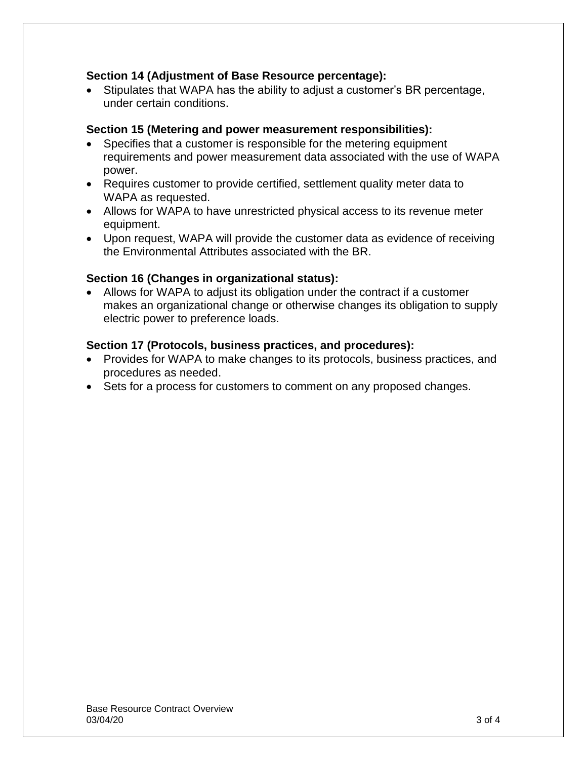#### **Section 14 (Adjustment of Base Resource percentage):**

 Stipulates that WAPA has the ability to adjust a customer's BR percentage, under certain conditions.

#### **Section 15 (Metering and power measurement responsibilities):**

- Specifies that a customer is responsible for the metering equipment requirements and power measurement data associated with the use of WAPA power.
- Requires customer to provide certified, settlement quality meter data to WAPA as requested.
- Allows for WAPA to have unrestricted physical access to its revenue meter equipment.
- Upon request, WAPA will provide the customer data as evidence of receiving the Environmental Attributes associated with the BR.

## **Section 16 (Changes in organizational status):**

 Allows for WAPA to adjust its obligation under the contract if a customer makes an organizational change or otherwise changes its obligation to supply electric power to preference loads.

#### **Section 17 (Protocols, business practices, and procedures):**

- Provides for WAPA to make changes to its protocols, business practices, and procedures as needed.
- Sets for a process for customers to comment on any proposed changes.